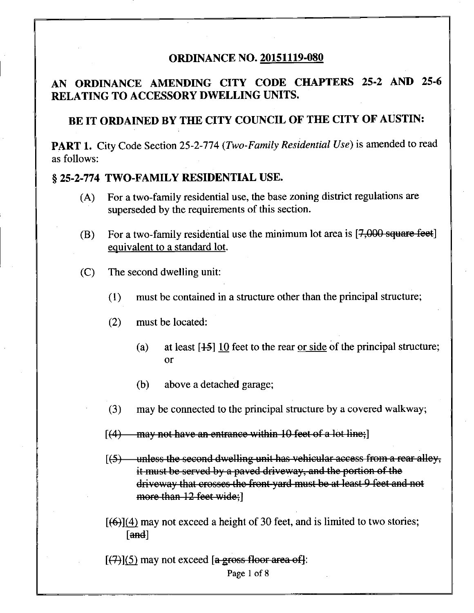#### **ORDINANCE NO. 20151119-080**

# **AN ORDINANCE AMENDING CITY CODE CHAPTERS 25-2 AND 25-6 RELATING TO ACCESSORY DWELLING UNITS.**

# **BE IT ORDAINED BY THE CITY COUNCIL OF THE CITY OF AUSTIN:**

PART 1. City Code Section 25-2-774 (Two-Family Residential Use) is amended to read as follows:

### **§ 25-2-774 TWO-FAMILY RESIDENTIAL USE.**

- (A) For a two-family residential use, the base zoning district regulations are superseded by the requirements of this section.
- (B) For a two-family residential use the minimum lot area is  $[7,000$  square feet] equivalent to a standard lot.
- (C) The second dwelling unit:
	- (1) must be contained in a structure other than the principal structure;
	- (2) must be located:
		- (a) at least  $[45]$  10 feet to the rear or side of the principal structure; or
		- (b) above a detached garage;
	- (3) may be connected to the principal structure by a covered walkway;
	- $[(4)$ —may not have an entrance within 10 feet of a lot line;
	- $[$ (5) unless the second dwelling unit has vehicular access from a rear alley, it must be served by a paved driveway, and the portion of the driveway that crosses the front yard must be at least 9 feet and not more than 12 feet wide;
	- $[66]$ (4) may not exceed a height of 30 feet, and is limited to two stories; [and]

 $\lceil (7) \rceil$  may not exceed  $\lceil a \rceil$  area off is

Page 1 of 8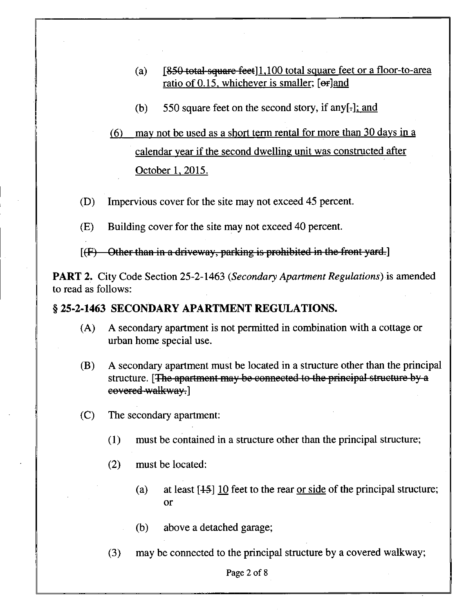- (a)  $[850 \text{ total-square feet}] 1,100 \text{ total square feet}$  feet or a floor-to-area ratio of 0.15, whichever is smaller; [or]and
- (b) 550 square feet on the second story, if any[ $\text{-}$ ]; and

# (6) may not be used as a short term rental for more than 30 davs in a calendar year if the second dwelling unit was constructed after October 1. 2015.

- (D) Impervious cover for the site may not exceed 45 percent.
- (E) Building cover for the site may not exceed 40 percent.
- $[F]$  Other than in a driveway, parking is prohibited in the front yard.]

PART 2. City Code Section 25-2-1463 (Secondary Apartment Regulations) is amended to read as follows:

## **§ 25-2-1463 SECONDARY APARTMENT REGULATIONS.**

- (A) A secondary apartment is not permitted in combination with a cottage or urban home special use.
- (B) A secondary apartment must be located in a structure other than the principal structure. [The apartment may be connected to the principal structure by a covered walkway.]
- (C) The secondary apartment:
	- (1) must be contained in a structure other than the principal structure;
	- (2) must be located:
		- (a) at least  $[45]$  10 feet to the rear <u>or side</u> of the principal structure; or
		- (b) above a detached garage;
	- (3) may be connected to the principal structure by a covered walkway;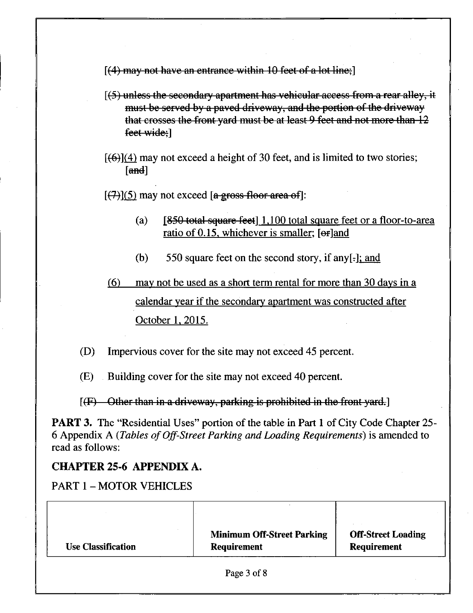$[$ (4) may not have an entrance within 10 feet of a lot line;

- [(5) unless the secondary apartment has vehicular access from a rear alley, it must be served by a paved driveway, and the portion of the driveway that crosses the front yard must be at least 9 feet and not more than 12 feet wide;]
- $[69]$ (4) may not exceed a height of 30 feet, and is limited to two stories;  $\lceil$ and $\rceil$

 $[(7)(5)$  may not exceed [a gross floor area of]:

- (a)  $[850 \text{ total square feet}]$  1,100 total square feet or a floor-to-area ratio of 0.15, whichever is smaller; [or]and
- (b) 550 square feet on the second story, if any $[-]$ ; and

# (6) may not be used as a short term rental for more than 30 davs in a calendar year if the secondary apartment was constructed after October 1. 2015.

- (D) Impervious cover for the site may not exceed 45 percent.
- (E) Building cover for the site may not exceed 40 percent.

 $[$ (F) Other than in a driveway, parking is prohibited in the front yard.]

PART 3. The "Residential Uses" portion of the table in Part 1 of City Code Chapter 25- 6 Appendix A (Tables of Off-Street Parking and Loading Requirements) is amended to read as follows:

## CHAPTER 25-6 APPENDIX A.

PART 1 - MOTOR VEHICLES

| <b>Use Classification</b> | <b>Minimum Off-Street Parking</b><br><b>Requirement</b> | <b>Off-Street Loading</b><br>Requirement |
|---------------------------|---------------------------------------------------------|------------------------------------------|
|                           | Page 3 of 8                                             |                                          |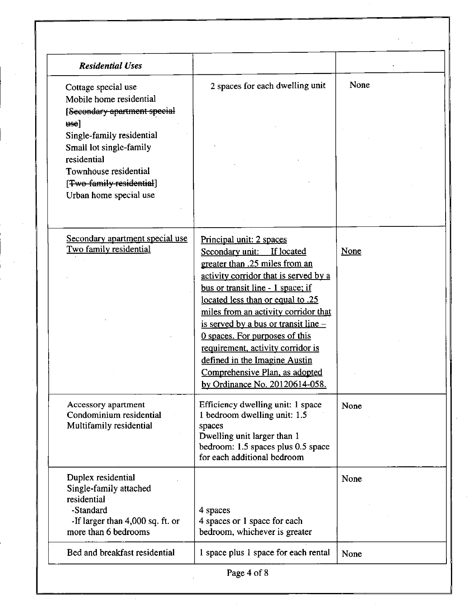| <b>Residential Uses</b>                                                                                                        |                                                                                                                                                                                                                                            |      |
|--------------------------------------------------------------------------------------------------------------------------------|--------------------------------------------------------------------------------------------------------------------------------------------------------------------------------------------------------------------------------------------|------|
| Cottage special use<br>Mobile home residential<br>[Secondary apartment special<br>$_{\text{use}}$<br>Single-family residential | 2 spaces for each dwelling unit                                                                                                                                                                                                            | None |
| Small lot single-family<br>residential<br>Townhouse residential                                                                |                                                                                                                                                                                                                                            |      |
| [Two family residential]<br>Urban home special use                                                                             |                                                                                                                                                                                                                                            |      |
| Secondary apartment special use<br>Two family residential                                                                      | Principal unit: 2 spaces<br>Secondary unit:<br>If located<br>greater than .25 miles from an                                                                                                                                                | None |
|                                                                                                                                | activity corridor that is served by a<br>bus or transit line - 1 space; if<br>located less than or equal to .25<br>miles from an activity corridor that<br>is served by a bus or transit line $-$<br><u>O spaces. For purposes of this</u> |      |
|                                                                                                                                | requirement, activity corridor is<br>defined in the Imagine Austin<br>Comprehensive Plan, as adopted<br>by Ordinance No. 20120614-058.                                                                                                     |      |
| Accessory apartment<br>Condominium residential<br>Multifamily residential                                                      | Efficiency dwelling unit: 1 space<br>1 bedroom dwelling unit: 1.5<br>spaces<br>Dwelling unit larger than 1<br>bedroom: 1.5 spaces plus 0.5 space<br>for each additional bedroom                                                            | None |
| Duplex residential<br>Single-family attached<br>residential<br>-Standard<br>-If larger than 4,000 sq. ft. or                   | 4 spaces<br>4 spaces or 1 space for each                                                                                                                                                                                                   | None |
| more than 6 bedrooms                                                                                                           | bedroom, whichever is greater                                                                                                                                                                                                              |      |
| Bed and breakfast residential                                                                                                  | 1 space plus 1 space for each rental                                                                                                                                                                                                       | None |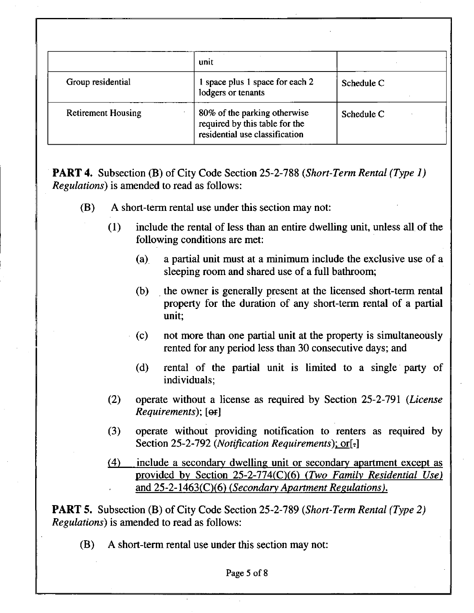|                           | unit                                                                                             |            |
|---------------------------|--------------------------------------------------------------------------------------------------|------------|
| Group residential         | 1 space plus 1 space for each 2<br>lodgers or tenants                                            | Schedule C |
| <b>Retirement Housing</b> | 80% of the parking otherwise<br>required by this table for the<br>residential use classification | Schedule C |

**PART 4.** Subsection (B) of City Code Section 25-2-788 (Short-Term Rental (Type 1) Regulations) is amended to read as follows:

- (B) A short-term rental use under this section may not:
	- (1) include the rental of less than an entire dwelling unit, unless all of the following conditions are met:
		- (a) a partial unit must at a minimum include the exclusive use of a sleeping room and shared use of a full bathroom;
		- (b) the owner is generally present at the licensed short-term rental property for the duration of any short-term rental of a partial unit;
		- (c) not more than one partial unit at the property is simultaneously rented for any period less than 30 consecutive days; and
		- (d) rental of the partial unit is limited to a single party of individuals;
	- **(2)**  operate without a license as required by Section 25-2-791 (*License*) Requirements); [ $\Theta$ **F**]
	- **(3)**  *operate without providing notification to renters as required by*  Section 25-2-792 (Notification Requirements); or[-]
	- $(4)$ *include a secondary dwelling unit or secondary apartment except as*  provided by Section 25-2-774(C)(6) (Two Family Residential Use) and 25-2-1463(C)(6) (Secondary Apartment Regulations).

**PART 5.** Subsection (B) of City Code Section 25-2-789 (Short-Term Rental (Type 2) Regulations) is amended to read as follows:

(B) A short-term rental use under this section may not: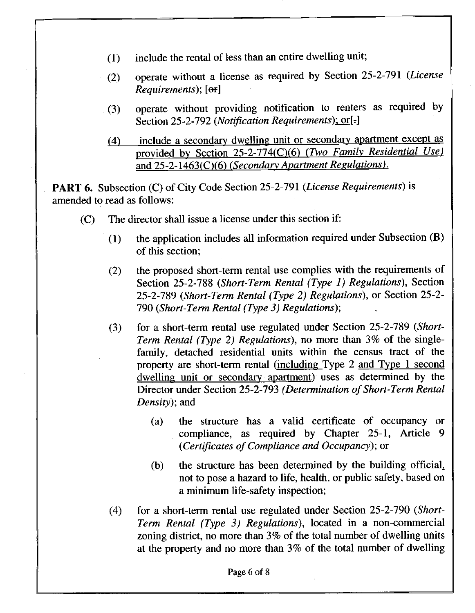- (1) include the rental of less than an entire dweUing unit;
- **(2) operate without a license as required by Section 25-2-791 (License Requirements); [ef]**
- *(3) operate without providing notification to renters as required by*  Section 25-2-792 (Notification Requirements); or[-]
- *(4) include a secondary dwelling unit or secondary apartment except as*  provided by Section 25-2-774(C)(6) (Two Family Residential Use) *and 25-2-1463(0(6) (Secondary Apartment Resulations).*

PART 6. Subsection (C) of City Code Section 25-2-791 (License Requirements) is amended to read as follows:

- $(C)$  The director shall issue a license under this section if:
	- (1) the application includes all information required under Subsection (B) of this section;
	- *(2) the proposed short-term rental use complies with the requirements of Section 25-2-788 (Short-Term Rental (Type 1) Regulations), Section 25-2-789 (Short-Term Rental (Type 2) Regulations), or Section 25-2- 790 (Short-Term Rental (Type 3) Regulations);*
	- **(3) for a short-term rental use regulated under Section 25-2-789 (Short-Term Rental (Type 2) Regulations), no more than 3% of the singlefamily, detached residential units within the census tract of the property are short-term rental (including Type 2 and Type 1 second dwelling unit or secondary apartment) uses as determined by the Director under Section 25-2-793 (Determination of Short-Term Rental Density); and** 
		- **(a) the structure has a valid certificate of occupancy or compliance, as required by Chapter 25-1, Article 9 (Certificates of Compliance and Occupancy); or**
		- (b) the structure has been determined by the building official, not to pose a hazard to life, health, or public safety, based on a minimum life-safety inspection;
	- (4) for a short-term rental use regulated under Section 25-2-790 (Short-Term Rental (Type 3) Regulations), located in a non-commercial zoning district, no more than 3% of the total number of dwelling units at the property and no more than 3% of the total number of dwelling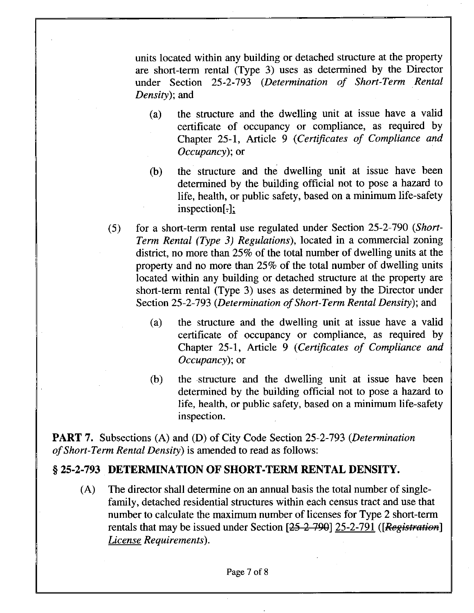*units located within any building or detached structure at the property are short-term rental (Type 3) uses as determined by the Director under Section 25-2-793 (Determination of Short-Term Rental Density*); and

- **(a) the structure and the dweUing unit at issue have a valid certificate of occupancy or compliance, as required by Chapter 25-1, Article 9 (Certificates of Compliance and Occupancy); or**
- (b) the structure and the dwelling unit at issue have been determined by the building official not to pose a hazard to life, health, or public safety, based on a minimum life-safety  $inspection[.]$ :
- **(5) for a short-term rental use regulated under Section 25-2-790 (Short-Term Rental (Type 3) Regulations), located in a commercial zoning district, no more than 25% of the total number of dweUing units at the property and no more than 25% of the total number of dwelling units located within any building or detached structure at the property are short-term rental (Type 3) uses as determined by the Director under Section 25-2-793 (Determination of Short-Term Rental Density); and** 
	- **(a) the structure and the dwelling unit at issue have a valid certificate of occupancy or compliance, as required by Chapter 25-1, Article 9 (Certificates of Compliance and Occupancy); or**
	- (b) the structure and the dwelling unit at issue have been determined by the building official not to pose a hazard to life, health, or public safety, based on a minimum life-safety inspection.

**PART 7. Subsections (A) and (D) of City Code Section 25-2-793 (Determination of Short-Term Rental Density) is amended to read as follows:** 

#### § 25-2-793 DETERMINATION OF SHORT-TERM RENTAL DENSITY.

*(A) The director shall determine on an annual basis the total number of singlefamily, detached residential structures within each census tract and use that number to calculate the maximum number of licenses for Type 2 short-term rentals that may be issued under Section [25 2 790] 25-2-791 ([Registration] License Requirements).*